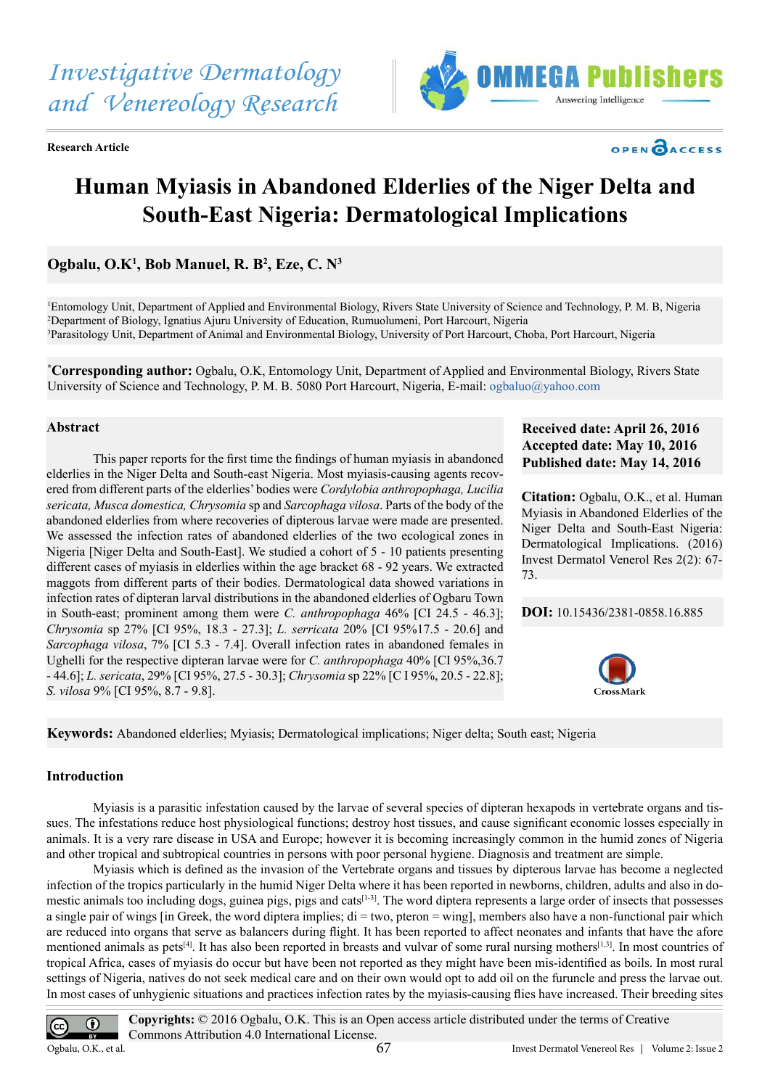

**Research Article**

# **Human Myiasis in Abandoned Elderlies of the Niger Delta and South-East Nigeria: Dermatological Implications**

# Ogbalu, O.K<sup>1</sup>, Bob Manuel, R. B<sup>2</sup>, Eze, C. N<sup>3</sup>

1 Entomology Unit, Department of Applied and Environmental Biology, Rivers State University of Science and Technology, P. M. B, Nigeria 2 Department of Biology, Ignatius Ajuru University of Education, Rumuolumeni, Port Harcourt, Nigeria 3 Parasitology Unit, Department of Animal and Environmental Biology, University of Port Harcourt, Choba, Port Harcourt, Nigeria

**\* Corresponding author:** Ogbalu, O.K, Entomology Unit, Department of Applied and Environmental Biology, Rivers State University of Science and Technology, P. M. B. 5080 Port Harcourt, Nigeria, E-mail: [ogbaluo@yahoo.com](mailto:ogbaluo@yahoo.com)

#### **Abstract**

This paper reports for the first time the findings of human myiasis in abandoned elderlies in the Niger Delta and South-east Nigeria. Most myiasis-causing agents recovered from different parts of the elderlies' bodies were *Cordylobia anthropophaga, Lucilia sericata, Musca domestica, Chrysomia* sp and *Sarcophaga vilosa*. Parts of the body of the abandoned elderlies from where recoveries of dipterous larvae were made are presented. We assessed the infection rates of abandoned elderlies of the two ecological zones in Nigeria [Niger Delta and South-East]. We studied a cohort of 5 - 10 patients presenting different cases of myiasis in elderlies within the age bracket 68 - 92 years. We extracted maggots from different parts of their bodies. Dermatological data showed variations in infection rates of dipteran larval distributions in the abandoned elderlies of Ogbaru Town in South-east; prominent among them were *C. anthropophaga* 46% [CI 24.5 - 46.3]; *Chrysomia* sp 27% [CI 95%, 18.3 - 27.3]; *L. serricata* 20% [CI 95%17.5 - 20.6] and *Sarcophaga vilosa*, 7% [CI 5.3 - 7.4]. Overall infection rates in abandoned females in Ughelli for the respective dipteran larvae were for *C. anthropophaga* 40% [CI 95%,36.7 - 44.6]; *L. sericata*, 29% [CI 95%, 27.5 - 30.3]; *Chrysomia* sp 22% [C I 95%, 20.5 - 22.8]; *S. vilosa* 9% [CI 95%, 8.7 - 9.8].

# **Received date: April 26, 2016 Accepted date: May 10, 2016 Published date: May 14, 2016**

OPEN CACCESS

**Citation:** Ogbalu, O.K., et al. Human Myiasis in Abandoned Elderlies of the Niger Delta and South-East Nigeria: Dermatological Implications. (2016) Invest Dermatol Venerol Res 2(2): 67- 73.

#### **DOI:** [10.15436/2381-0858.16.885](http://www.dx.doi.org/10.15436/2381-0858.16.885
)



**Keywords:** Abandoned elderlies; Myiasis; Dermatological implications; Niger delta; South east; Nigeria

#### **Introduction**

Myiasis is a parasitic infestation caused by the larvae of several species of dipteran hexapods in vertebrate organs and tissues. The infestations reduce host physiological functions; destroy host tissues, and cause significant economic losses especially in animals. It is a very rare disease in USA and Europe; however it is becoming increasingly common in the humid zones of Nigeria and other tropical and subtropical countries in persons with poor personal hygiene. Diagnosis and treatment are simple.

Myiasis which is defined as the invasion of the Vertebrate organs and tissues by dipterous larvae has become a neglected infection of the tropics particularly in the humid Niger Delta where it has been reported in newborns, children, adults and also in do-mestic animals too including dogs, guinea pigs, pigs and cats<sup>[\[1-3\]](#page-6-0)</sup>. The word diptera represents a large order of insects that possesses a single pair of wings [in Greek, the word diptera implies;  $di = two$ , pteron  $= wing$ ], members also have a non-functional pair which are reduced into organs that serve as balancers during flight. It has been reported to affect neonates and infants that have the afore mentioned animals as pets<sup>[\[4\]](#page-6-1)</sup>. It has also been reported in breasts and vulvar of some rural nursing mothers<sup>[\[1,3\]](#page-6-0)</sup>. In most countries of tropical Africa, cases of myiasis do occur but have been not reported as they might have been mis-identified as boils. In most rural settings of Nigeria, natives do not seek medical care and on their own would opt to add oil on the furuncle and press the larvae out. In most cases of unhygienic situations and practices infection rates by the myiasis-causing flies have increased. Their breeding sites

**Copyrights:** © 2016 Ogbalu, O.K. This is an Open access article distributed under the terms of Creative  $\odot$ Commons Attribution 4.0 International License. Ogbalu, O.K., et al. Invest Dermatol Venereol Res | Volume 2: Issue 267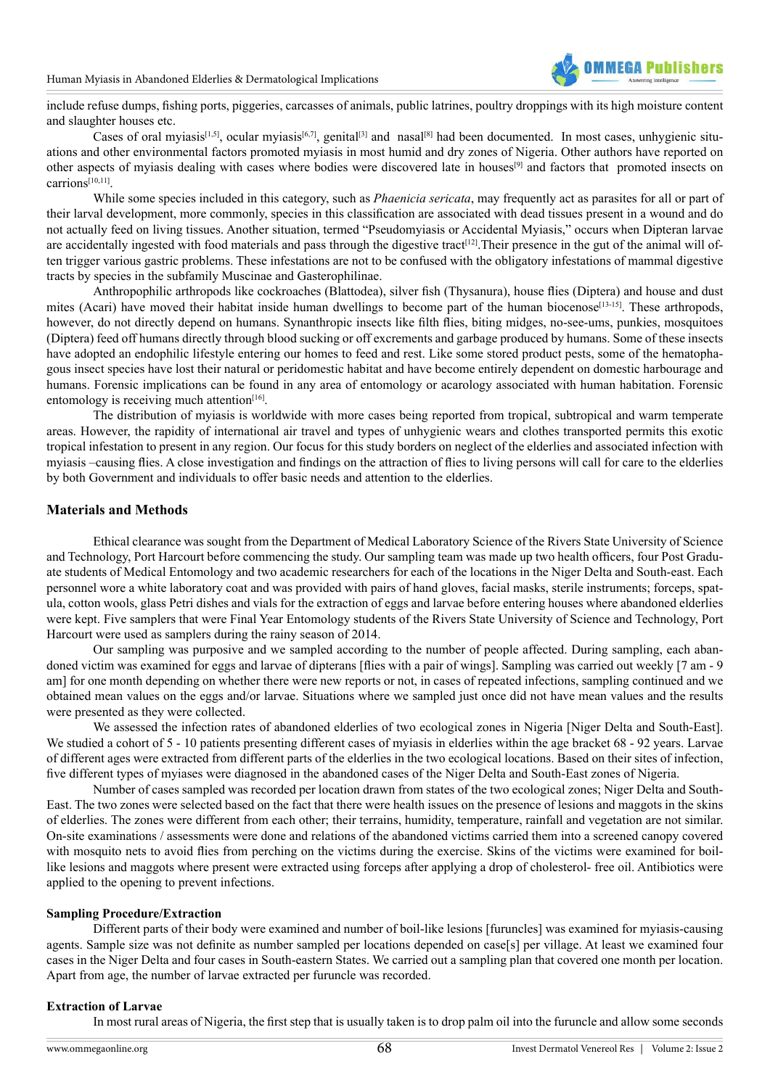

include refuse dumps, fishing ports, piggeries, carcasses of animals, public latrines, poultry droppings with its high moisture content and slaughter houses etc.

Cases of oral myiasis<sup>[1,5]</sup>, ocular myiasis<sup>[6,7]</sup>, genital<sup>[3]</sup> and nasal<sup>[8]</sup> had been documented. In most cases, unhygienic situations and other environmental factors promoted myiasis in most humid and dry zones of Nigeria. Other authors have reported on other aspects of myiasis dealing with cases where bodies were discovered late in houses[\[9\]](#page-6-5) and factors that promoted insects on carrion[s\[10,11\].](#page-6-6)

While some species included in this category, such as *Phaenicia sericata*, may frequently act as parasites for all or part of their larval development, more commonly, species in this classification are associated with dead tissues present in a wound and do not actually feed on living tissues. Another situation, termed "Pseudomyiasis or Accidental Myiasis," occurs when Dipteran larvae are accidentally ingested with food materials and pass through the digestive tract<sup>[\[12\]](#page-6-7)</sup>. Their presence in the gut of the animal will often trigger various gastric problems. These infestations are not to be confused with the obligatory infestations of mammal digestive tracts by species in the subfamily Muscinae and Gasterophilinae.

Anthropophilic arthropods like cockroaches (Blattodea), silver fish (Thysanura), house flies (Diptera) and house and dust mites (Acari) have moved their habitat inside human dwellings to become part of the human biocenose<sup>[13-15]</sup>. These arthropods, however, do not directly depend on humans. Synanthropic insects like filth flies, biting midges, no-see-ums, punkies, mosquitoes (Diptera) feed off humans directly through blood sucking or off excrements and garbage produced by humans. Some of these insects have adopted an endophilic lifestyle entering our homes to feed and rest. Like some stored product pests, some of the hematophagous insect species have lost their natural or peridomestic habitat and have become entirely dependent on domestic harbourage and humans. Forensic implications can be found in any area of entomology or acarology associated with human habitation. Forensic entomology is receiving much attention $[16]$ .

The distribution of myiasis is worldwide with more cases being reported from tropical, subtropical and warm temperate areas. However, the rapidity of international air travel and types of unhygienic wears and clothes transported permits this exotic tropical infestation to present in any region. Our focus for this study borders on neglect of the elderlies and associated infection with myiasis –causing flies. A close investigation and findings on the attraction of flies to living persons will call for care to the elderlies by both Government and individuals to offer basic needs and attention to the elderlies.

#### **Materials and Methods**

Ethical clearance was sought from the Department of Medical Laboratory Science of the Rivers State University of Science and Technology, Port Harcourt before commencing the study. Our sampling team was made up two health officers, four Post Graduate students of Medical Entomology and two academic researchers for each of the locations in the Niger Delta and South-east. Each personnel wore a white laboratory coat and was provided with pairs of hand gloves, facial masks, sterile instruments; forceps, spatula, cotton wools, glass Petri dishes and vials for the extraction of eggs and larvae before entering houses where abandoned elderlies were kept. Five samplers that were Final Year Entomology students of the Rivers State University of Science and Technology, Port Harcourt were used as samplers during the rainy season of 2014.

Our sampling was purposive and we sampled according to the number of people affected. During sampling, each abandoned victim was examined for eggs and larvae of dipterans [flies with a pair of wings]. Sampling was carried out weekly [7 am - 9 am] for one month depending on whether there were new reports or not, in cases of repeated infections, sampling continued and we obtained mean values on the eggs and/or larvae. Situations where we sampled just once did not have mean values and the results were presented as they were collected.

We assessed the infection rates of abandoned elderlies of two ecological zones in Nigeria [Niger Delta and South-East]. We studied a cohort of 5 - 10 patients presenting different cases of myiasis in elderlies within the age bracket 68 - 92 years. Larvae of different ages were extracted from different parts of the elderlies in the two ecological locations. Based on their sites of infection, five different types of myiases were diagnosed in the abandoned cases of the Niger Delta and South-East zones of Nigeria.

Number of cases sampled was recorded per location drawn from states of the two ecological zones; Niger Delta and South-East. The two zones were selected based on the fact that there were health issues on the presence of lesions and maggots in the skins of elderlies. The zones were different from each other; their terrains, humidity, temperature, rainfall and vegetation are not similar. On-site examinations / assessments were done and relations of the abandoned victims carried them into a screened canopy covered with mosquito nets to avoid flies from perching on the victims during the exercise. Skins of the victims were examined for boillike lesions and maggots where present were extracted using forceps after applying a drop of cholesterol- free oil. Antibiotics were applied to the opening to prevent infections.

#### **Sampling Procedure/Extraction**

Different parts of their body were examined and number of boil-like lesions [furuncles] was examined for myiasis-causing agents. Sample size was not definite as number sampled per locations depended on case[s] per village. At least we examined four cases in the Niger Delta and four cases in South-eastern States. We carried out a sampling plan that covered one month per location. Apart from age, the number of larvae extracted per furuncle was recorded.

#### **Extraction of Larvae**

In most rural areas of Nigeria, the first step that is usually taken is to drop palm oil into the furuncle and allow some seconds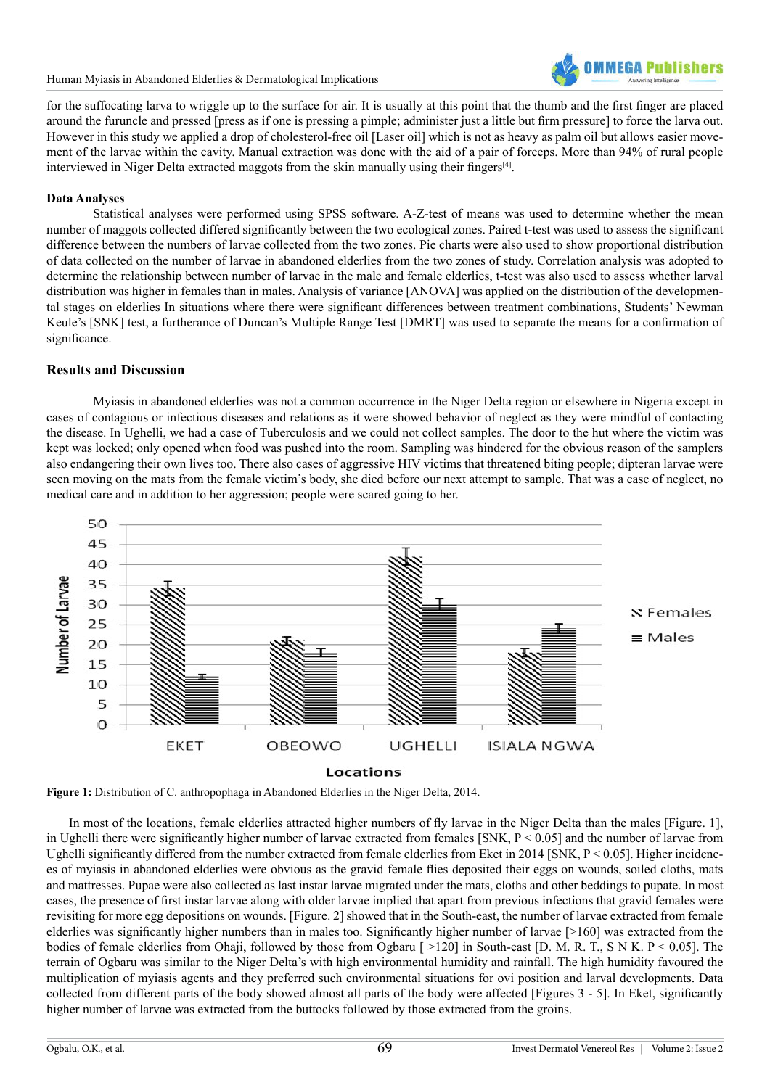

for the suffocating larva to wriggle up to the surface for air. It is usually at this point that the thumb and the first finger are placed around the furuncle and pressed [press as if one is pressing a pimple; administer just a little but firm pressure] to force the larva out. However in this study we applied a drop of cholesterol-free oil [Laser oil] which is not as heavy as palm oil but allows easier movement of the larvae within the cavity. Manual extraction was done with the aid of a pair of forceps. More than 94% of rural people interviewed in Niger Delta extracted maggots from the skin manually using their fingers[\[4\]](#page-6-1).

#### **Data Analyses**

Statistical analyses were performed using SPSS software. A-Z-test of means was used to determine whether the mean number of maggots collected differed significantly between the two ecological zones. Paired t-test was used to assess the significant difference between the numbers of larvae collected from the two zones. Pie charts were also used to show proportional distribution of data collected on the number of larvae in abandoned elderlies from the two zones of study. Correlation analysis was adopted to determine the relationship between number of larvae in the male and female elderlies, t-test was also used to assess whether larval distribution was higher in females than in males. Analysis of variance [ANOVA] was applied on the distribution of the developmental stages on elderlies In situations where there were significant differences between treatment combinations, Students' Newman Keule's [SNK] test, a furtherance of Duncan's Multiple Range Test [DMRT] was used to separate the means for a confirmation of significance.

# **Results and Discussion**

Myiasis in abandoned elderlies was not a common occurrence in the Niger Delta region or elsewhere in Nigeria except in cases of contagious or infectious diseases and relations as it were showed behavior of neglect as they were mindful of contacting the disease. In Ughelli, we had a case of Tuberculosis and we could not collect samples. The door to the hut where the victim was kept was locked; only opened when food was pushed into the room. Sampling was hindered for the obvious reason of the samplers also endangering their own lives too. There also cases of aggressive HIV victims that threatened biting people; dipteran larvae were seen moving on the mats from the female victim's body, she died before our next attempt to sample. That was a case of neglect, no medical care and in addition to her aggression; people were scared going to her.



**Figure 1:** Distribution of C. anthropophaga in Abandoned Elderlies in the Niger Delta, 2014.

 In most of the locations, female elderlies attracted higher numbers of fly larvae in the Niger Delta than the males [Figure. 1], in Ughelli there were significantly higher number of larvae extracted from females [SNK, P < 0.05] and the number of larvae from Ughelli significantly differed from the number extracted from female elderlies from Eket in 2014 [SNK,  $P \le 0.05$ ]. Higher incidences of myiasis in abandoned elderlies were obvious as the gravid female flies deposited their eggs on wounds, soiled cloths, mats and mattresses. Pupae were also collected as last instar larvae migrated under the mats, cloths and other beddings to pupate. In most cases, the presence of first instar larvae along with older larvae implied that apart from previous infections that gravid females were revisiting for more egg depositions on wounds. [Figure. 2] showed that in the South-east, the number of larvae extracted from female elderlies was significantly higher numbers than in males too. Significantly higher number of larvae [>160] was extracted from the bodies of female elderlies from Ohaji, followed by those from Ogbaru [ >120] in South-east [D. M. R. T., S N K. P < 0.05]. The terrain of Ogbaru was similar to the Niger Delta's with high environmental humidity and rainfall. The high humidity favoured the multiplication of myiasis agents and they preferred such environmental situations for ovi position and larval developments. Data collected from different parts of the body showed almost all parts of the body were affected [Figures 3 - 5]. In Eket, significantly higher number of larvae was extracted from the buttocks followed by those extracted from the groins.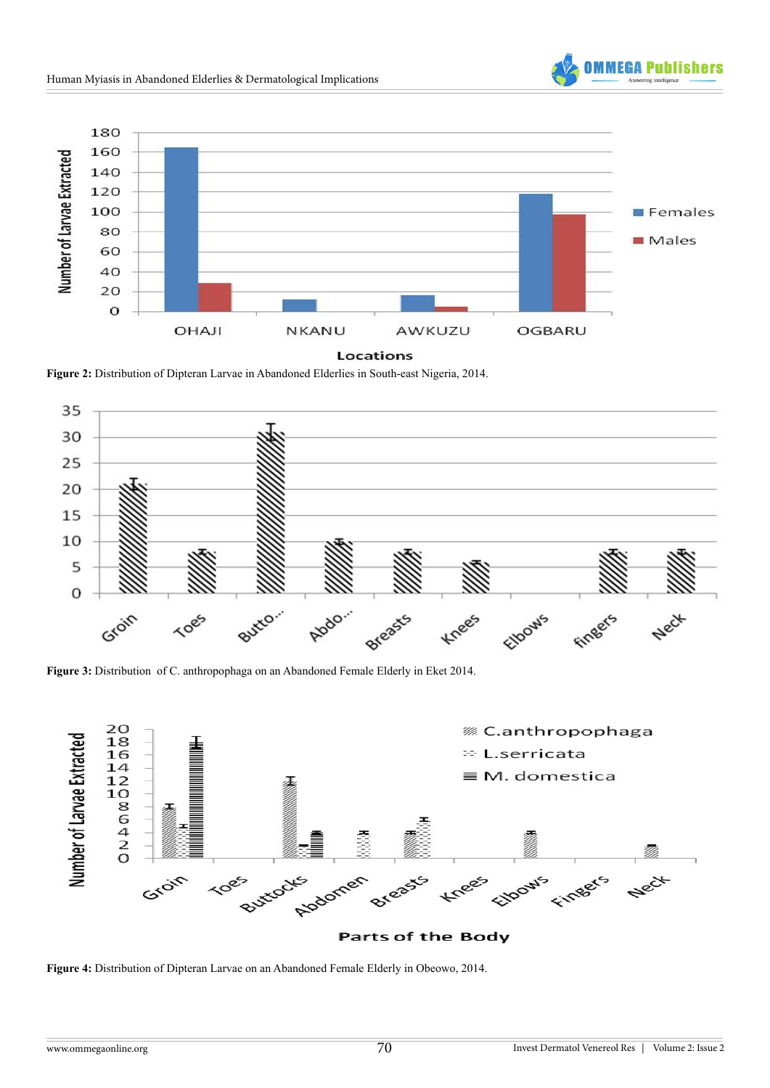



**Figure 2:** Distribution of Dipteran Larvae in Abandoned Elderlies in South-east Nigeria, 2014.



**Figure 3:** Distribution of C. anthropophaga on an Abandoned Female Elderly in Eket 2014.



**Figure 4:** Distribution of Dipteran Larvae on an Abandoned Female Elderly in Obeowo, 2014.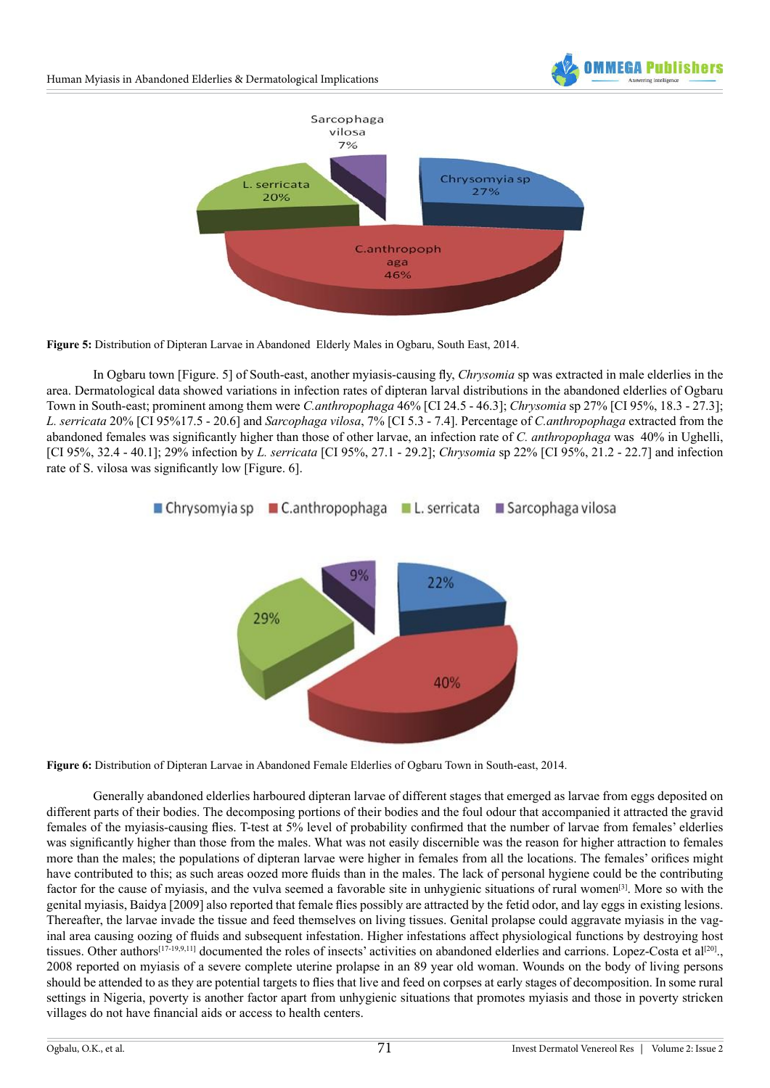

**Figure 5:** Distribution of Dipteran Larvae in Abandoned Elderly Males in Ogbaru, South East, 2014.

In Ogbaru town [Figure. 5] of South-east, another myiasis-causing fly, *Chrysomia* sp was extracted in male elderlies in the area. Dermatological data showed variations in infection rates of dipteran larval distributions in the abandoned elderlies of Ogbaru Town in South-east; prominent among them were *C.anthropophaga* 46% [CI 24.5 - 46.3]; *Chrysomia* sp 27% [CI 95%, 18.3 - 27.3]; *L. serricata* 20% [CI 95%17.5 - 20.6] and *Sarcophaga vilosa*, 7% [CI 5.3 - 7.4]. Percentage of *C.anthropophaga* extracted from the abandoned females was significantly higher than those of other larvae, an infection rate of *C. anthropophaga* was 40% in Ughelli, [CI 95%, 32.4 - 40.1]; 29% infection by *L. serricata* [CI 95%, 27.1 - 29.2]; *Chrysomia* sp 22% [CI 95%, 21.2 - 22.7] and infection rate of S. vilosa was significantly low [Figure. 6].



**Figure 6:** Distribution of Dipteran Larvae in Abandoned Female Elderlies of Ogbaru Town in South-east, 2014.

Generally abandoned elderlies harboured dipteran larvae of different stages that emerged as larvae from eggs deposited on different parts of their bodies. The decomposing portions of their bodies and the foul odour that accompanied it attracted the gravid females of the myiasis-causing flies. T-test at 5% level of probability confirmed that the number of larvae from females' elderlies was significantly higher than those from the males. What was not easily discernible was the reason for higher attraction to females more than the males; the populations of dipteran larvae were higher in females from all the locations. The females' orifices might have contributed to this; as such areas oozed more fluids than in the males. The lack of personal hygiene could be the contributing factor for the cause of myiasis, and the vulva seemed a favorable site in unhygienic situations of rural women[\[3\]](#page-6-3). More so with the genital myiasis, Baidya [2009] also reported that female flies possibly are attracted by the fetid odor, and lay eggs in existing lesions. Thereafter, the larvae invade the tissue and feed themselves on living tissues. Genital prolapse could aggravate myiasis in the vaginal area causing oozing of fluids and subsequent infestation. Higher infestations affect physiological functions by destroying host tissues. Other authors<sup>[17-19,9,11]</sup> documented the roles of insects' activities on abandoned elderlies and carrions. Lopez-Costa et al<sup>[\[20\]](#page-6-11)</sup>. 2008 reported on myiasis of a severe complete uterine prolapse in an 89 year old woman. Wounds on the body of living persons should be attended to as they are potential targets to flies that live and feed on corpses at early stages of decomposition. In some rural settings in Nigeria, poverty is another factor apart from unhygienic situations that promotes myiasis and those in poverty stricken villages do not have financial aids or access to health centers.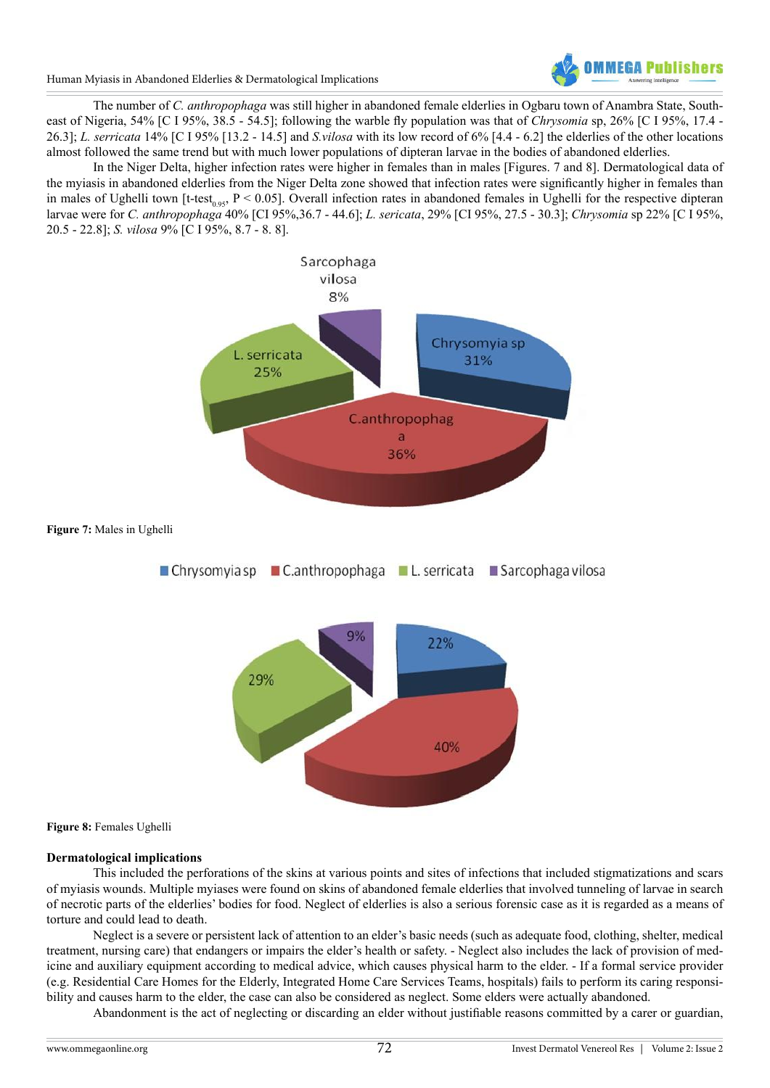

Human Myiasis in Abandoned Elderlies & Dermatological Implications

The number of *C. anthropophaga* was still higher in abandoned female elderlies in Ogbaru town of Anambra State, Southeast of Nigeria, 54% [C I 95%, 38.5 - 54.5]; following the warble fly population was that of *Chrysomia* sp, 26% [C I 95%, 17.4 - 26.3]; *L. serricata* 14% [C I 95% [13.2 - 14.5] and *S.vilosa* with its low record of 6% [4.4 - 6.2] the elderlies of the other locations almost followed the same trend but with much lower populations of dipteran larvae in the bodies of abandoned elderlies.

In the Niger Delta, higher infection rates were higher in females than in males [Figures. 7 and 8]. Dermatological data of the myiasis in abandoned elderlies from the Niger Delta zone showed that infection rates were significantly higher in females than in males of Ughelli town [t-test<sub>0.95</sub>, P < 0.05]. Overall infection rates in abandoned females in Ughelli for the respective dipteran larvae were for *C. anthropophaga* 40% [CI 95%,36.7 - 44.6]; *L. sericata*, 29% [CI 95%, 27.5 - 30.3]; *Chrysomia* sp 22% [C I 95%, 20.5 - 22.8]; *S. vilosa* 9% [C I 95%, 8.7 - 8. 8].



#### **Figure 8:** Females Ughelli

#### **Dermatological implications**

This included the perforations of the skins at various points and sites of infections that included stigmatizations and scars of myiasis wounds. Multiple myiases were found on skins of abandoned female elderlies that involved tunneling of larvae in search of necrotic parts of the elderlies' bodies for food. Neglect of elderlies is also a serious forensic case as it is regarded as a means of torture and could lead to death.

Neglect is a severe or persistent lack of attention to an elder's basic needs (such as adequate food, clothing, shelter, medical treatment, nursing care) that endangers or impairs the elder's health or safety. - Neglect also includes the lack of provision of medicine and auxiliary equipment according to medical advice, which causes physical harm to the elder. - If a formal service provider (e.g. Residential Care Homes for the Elderly, Integrated Home Care Services Teams, hospitals) fails to perform its caring responsibility and causes harm to the elder, the case can also be considered as neglect. Some elders were actually abandoned.

Abandonment is the act of neglecting or discarding an elder without justifiable reasons committed by a carer or guardian,